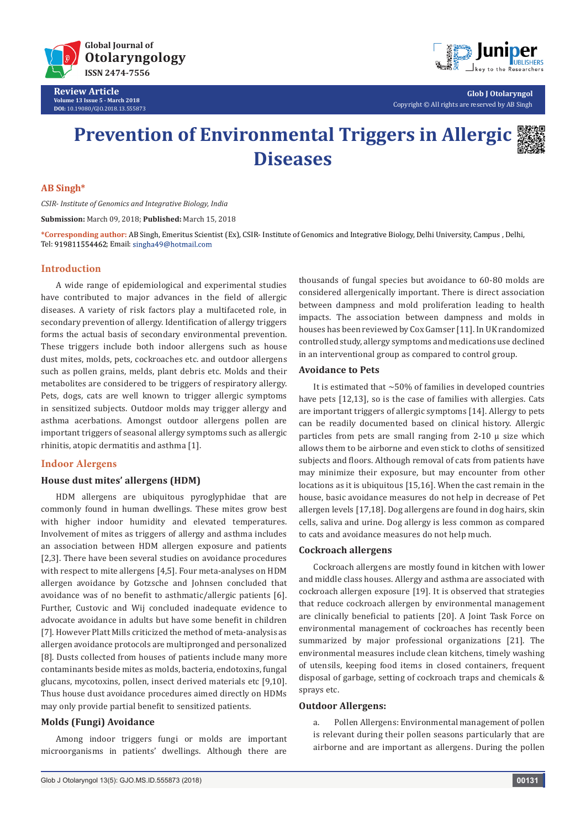

**Review Article Volume 13 Issue 5 - March 2018 DOI:** [10.19080/GJO.2018.13.555873](http://dx.doi.org/10.19080/GJO.2018.13.555873)



**Glob J Otolaryngol** Copyright © All rights are reserved by AB Singh

# **Prevention of Environmental Triggers in Allergic Diseases**



## **AB Singh\***

*CSIR- Institute of Genomics and Integrative Biology, India*

**Submission:** March 09, 2018; **Published:** March 15, 2018

**\*Corresponding author:** AB Singh, Emeritus Scientist (Ex), CSIR- Institute of Genomics and Integrative Biology, Delhi University, Campus , Delhi, Tel: 919811554462; Email: singha49@hotmail.com

## **Introduction**

A wide range of epidemiological and experimental studies have contributed to major advances in the field of allergic diseases. A variety of risk factors play a multifaceted role, in secondary prevention of allergy. Identification of allergy triggers forms the actual basis of secondary environmental prevention. These triggers include both indoor allergens such as house dust mites, molds, pets, cockroaches etc. and outdoor allergens such as pollen grains, melds, plant debris etc. Molds and their metabolites are considered to be triggers of respiratory allergy. Pets, dogs, cats are well known to trigger allergic symptoms in sensitized subjects. Outdoor molds may trigger allergy and asthma acerbations. Amongst outdoor allergens pollen are important triggers of seasonal allergy symptoms such as allergic rhinitis, atopic dermatitis and asthma [1].

## **Indoor Alergens**

## **House dust mites' allergens (HDM)**

HDM allergens are ubiquitous pyroglyphidae that are commonly found in human dwellings. These mites grow best with higher indoor humidity and elevated temperatures. Involvement of mites as triggers of allergy and asthma includes an association between HDM allergen exposure and patients [2,3]. There have been several studies on avoidance procedures with respect to mite allergens [4,5]. Four meta-analyses on HDM allergen avoidance by Gotzsche and Johnsen concluded that avoidance was of no benefit to asthmatic/allergic patients [6]. Further, Custovic and Wij concluded inadequate evidence to advocate avoidance in adults but have some benefit in children [7]. However Platt Mills criticized the method of meta-analysis as allergen avoidance protocols are multipronged and personalized [8]. Dusts collected from houses of patients include many more contaminants beside mites as molds, bacteria, endotoxins, fungal glucans, mycotoxins, pollen, insect derived materials etc [9,10]. Thus house dust avoidance procedures aimed directly on HDMs may only provide partial benefit to sensitized patients.

## **Molds (Fungi) Avoidance**

Among indoor triggers fungi or molds are important microorganisms in patients' dwellings. Although there are thousands of fungal species but avoidance to 60-80 molds are considered allergenically important. There is direct association between dampness and mold proliferation leading to health impacts. The association between dampness and molds in houses has been reviewed by Cox Gamser [11]. In UK randomized controlled study, allergy symptoms and medications use declined in an interventional group as compared to control group.

## **Avoidance to Pets**

It is estimated that  $\sim$  50% of families in developed countries have pets [12,13], so is the case of families with allergies. Cats are important triggers of allergic symptoms [14]. Allergy to pets can be readily documented based on clinical history. Allergic particles from pets are small ranging from  $2-10$   $\mu$  size which allows them to be airborne and even stick to cloths of sensitized subjects and floors. Although removal of cats from patients have may minimize their exposure, but may encounter from other locations as it is ubiquitous [15,16]. When the cast remain in the house, basic avoidance measures do not help in decrease of Pet allergen levels [17,18]. Dog allergens are found in dog hairs, skin cells, saliva and urine. Dog allergy is less common as compared to cats and avoidance measures do not help much.

## **Cockroach allergens**

Cockroach allergens are mostly found in kitchen with lower and middle class houses. Allergy and asthma are associated with cockroach allergen exposure [19]. It is observed that strategies that reduce cockroach allergen by environmental management are clinically beneficial to patients [20]. A Joint Task Force on environmental management of cockroaches has recently been summarized by major professional organizations [21]. The environmental measures include clean kitchens, timely washing of utensils, keeping food items in closed containers, frequent disposal of garbage, setting of cockroach traps and chemicals & sprays etc.

#### **Outdoor Allergens:**

a. Pollen Allergens: Environmental management of pollen is relevant during their pollen seasons particularly that are airborne and are important as allergens. During the pollen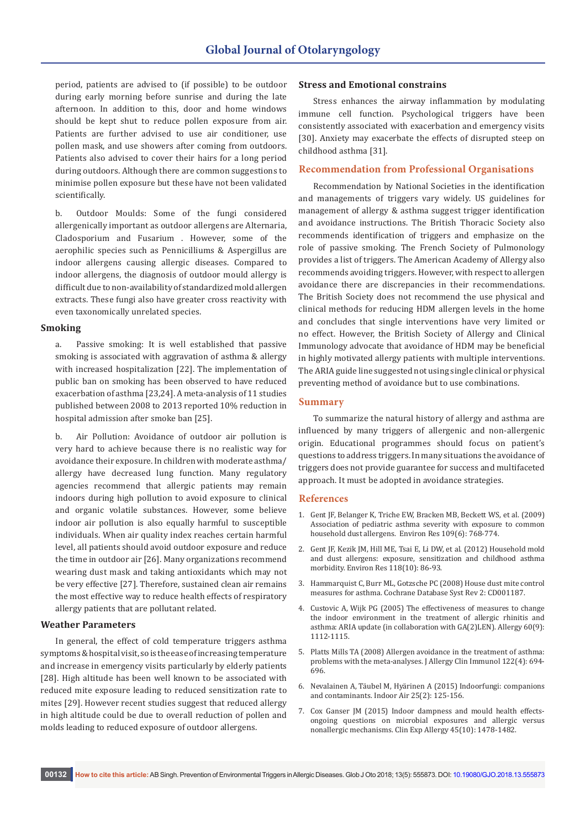period, patients are advised to (if possible) to be outdoor during early morning before sunrise and during the late afternoon. In addition to this, door and home windows should be kept shut to reduce pollen exposure from air. Patients are further advised to use air conditioner, use pollen mask, and use showers after coming from outdoors. Patients also advised to cover their hairs for a long period during outdoors. Although there are common suggestions to minimise pollen exposure but these have not been validated scientifically.

b. Outdoor Moulds: Some of the fungi considered allergenically important as outdoor allergens are Alternaria, Cladosporium and Fusarium . However, some of the aerophilic species such as Pennicilliums & Aspergillus are indoor allergens causing allergic diseases. Compared to indoor allergens, the diagnosis of outdoor mould allergy is difficult due to non-availability of standardized mold allergen extracts. These fungi also have greater cross reactivity with even taxonomically unrelated species.

## **Smoking**

a. Passive smoking: It is well established that passive smoking is associated with aggravation of asthma & allergy with increased hospitalization [22]. The implementation of public ban on smoking has been observed to have reduced exacerbation of asthma [23,24]. A meta-analysis of 11 studies published between 2008 to 2013 reported 10% reduction in hospital admission after smoke ban [25].

Air Pollution: Avoidance of outdoor air pollution is very hard to achieve because there is no realistic way for avoidance their exposure. In children with moderate asthma/ allergy have decreased lung function. Many regulatory agencies recommend that allergic patients may remain indoors during high pollution to avoid exposure to clinical and organic volatile substances. However, some believe indoor air pollution is also equally harmful to susceptible individuals. When air quality index reaches certain harmful level, all patients should avoid outdoor exposure and reduce the time in outdoor air [26]. Many organizations recommend wearing dust mask and taking antioxidants which may not be very effective [27]. Therefore, sustained clean air remains the most effective way to reduce health effects of respiratory allergy patients that are pollutant related.

## **Weather Parameters**

In general, the effect of cold temperature triggers asthma symptoms & hospital visit, so is the ease of increasing temperature and increase in emergency visits particularly by elderly patients [28]. High altitude has been well known to be associated with reduced mite exposure leading to reduced sensitization rate to mites [29]. However recent studies suggest that reduced allergy in high altitude could be due to overall reduction of pollen and molds leading to reduced exposure of outdoor allergens.

#### **Stress and Emotional constrains**

Stress enhances the airway inflammation by modulating immune cell function. Psychological triggers have been consistently associated with exacerbation and emergency visits [30]. Anxiety may exacerbate the effects of disrupted steep on childhood asthma [31].

## **Recommendation from Professional Organisations**

Recommendation by National Societies in the identification and managements of triggers vary widely. US guidelines for management of allergy & asthma suggest trigger identification and avoidance instructions. The British Thoracic Society also recommends identification of triggers and emphasize on the role of passive smoking. The French Society of Pulmonology provides a list of triggers. The American Academy of Allergy also recommends avoiding triggers. However, with respect to allergen avoidance there are discrepancies in their recommendations. The British Society does not recommend the use physical and clinical methods for reducing HDM allergen levels in the home and concludes that single interventions have very limited or no effect. However, the British Society of Allergy and Clinical Immunology advocate that avoidance of HDM may be beneficial in highly motivated allergy patients with multiple interventions. The ARIA guide line suggested not using single clinical or physical preventing method of avoidance but to use combinations.

## **Summary**

To summarize the natural history of allergy and asthma are influenced by many triggers of allergenic and non-allergenic origin. Educational programmes should focus on patient's questions to address triggers. In many situations the avoidance of triggers does not provide guarantee for success and multifaceted approach. It must be adopted in avoidance strategies.

#### **References**

- 1. [Gent JF, Belanger K, Triche EW, Bracken MB, Beckett WS, et al. \(2009\)](https://www.ncbi.nlm.nih.gov/pubmed/19473655)  [Association of pediatric asthma severity with exposure to common](https://www.ncbi.nlm.nih.gov/pubmed/19473655)  [household dust allergens. Environ Res 109\(6\): 768-774.](https://www.ncbi.nlm.nih.gov/pubmed/19473655)
- 2. [Gent JF, Kezik JM, Hill ME, Tsai E, Li DW, et al. \(2012\) Household mold](https://www.ncbi.nlm.nih.gov/pubmed/22863552)  [and dust allergens: exposure, sensitization and childhood asthma](https://www.ncbi.nlm.nih.gov/pubmed/22863552)  [morbidity. Environ Res 118\(10\): 86-93.](https://www.ncbi.nlm.nih.gov/pubmed/22863552)
- 3. [Hammarquist C, Burr ML, Gotzsche PC \(2008\) House dust mite control](https://www.ncbi.nlm.nih.gov/pubmed/15495009)  [measures for asthma. Cochrane Database Syst Rev 2: CD001187.](https://www.ncbi.nlm.nih.gov/pubmed/15495009)
- 4. [Custovic A, Wijk PG \(2005\) The effectiveness of measures to change](https://www.ncbi.nlm.nih.gov/pubmed/16076293)  [the indoor environment in the treatment of allergic rhinitis and](https://www.ncbi.nlm.nih.gov/pubmed/16076293)  [asthma: ARIA update \(in collaboration with GA\(2\)LEN\). Allergy 60\(9\):](https://www.ncbi.nlm.nih.gov/pubmed/16076293)  [1112-1115.](https://www.ncbi.nlm.nih.gov/pubmed/16076293)
- 5. [Platts Mills TA \(2008\) Allergen avoidance in the treatment of asthma:](https://www.ncbi.nlm.nih.gov/pubmed/19014759)  [problems with the meta-analyses. J Allergy Clin Immunol 122\(4\): 694-](https://www.ncbi.nlm.nih.gov/pubmed/19014759) [696.](https://www.ncbi.nlm.nih.gov/pubmed/19014759)
- 6. [Nevalainen A, Täubel M, Hyärinen A \(2015\) Indoorfungi: companions](https://www.ncbi.nlm.nih.gov/pubmed/25601374)  [and contaminants. Indoor Air 25\(2\): 125-156.](https://www.ncbi.nlm.nih.gov/pubmed/25601374)
- 7. [Cox Ganser JM \(2015\) Indoor dampness and mould health effects](https://www.ncbi.nlm.nih.gov/pmc/articles/PMC4667360/)[ongoing questions on microbial exposures and allergic versus](https://www.ncbi.nlm.nih.gov/pmc/articles/PMC4667360/)  [nonallergic mechanisms. Clin Exp Allergy 45\(10\): 1478-1482.](https://www.ncbi.nlm.nih.gov/pmc/articles/PMC4667360/)